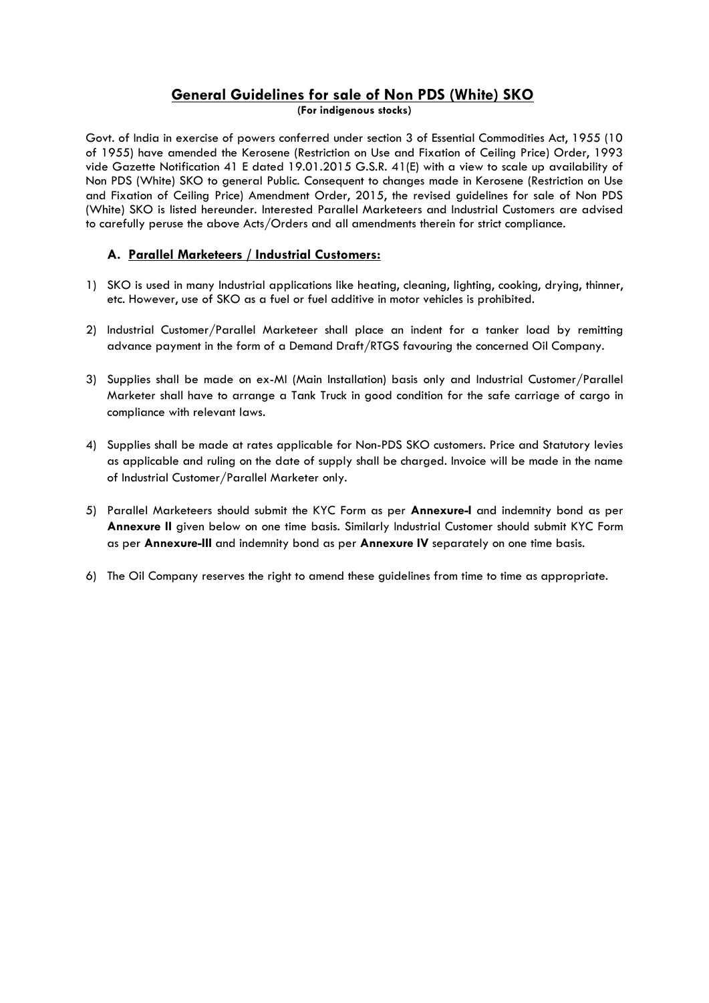### **General Guidelines for sale of Non PDS (White) SKO**

**(For indigenous stocks)**

Govt. of India in exercise of powers conferred under section 3 of Essential Commodities Act, 1955 (10 of 1955) have amended the Kerosene (Restriction on Use and Fixation of Ceiling Price) Order, 1993 vide Gazette Notification 41 E dated 19.01.2015 G.S.R. 41(E) with a view to scale up availability of Non PDS (White) SKO to general Public. Consequent to changes made in Kerosene (Restriction on Use and Fixation of Ceiling Price) Amendment Order, 2015, the revised guidelines for sale of Non PDS (White) SKO is listed hereunder. Interested Parallel Marketeers and Industrial Customers are advised to carefully peruse the above Acts/Orders and all amendments therein for strict compliance.

#### **A. Parallel Marketeers / Industrial Customers:**

- 1) SKO is used in many Industrial applications like heating, cleaning, lighting, cooking, drying, thinner, etc. However, use of SKO as a fuel or fuel additive in motor vehicles is prohibited.
- 2) Industrial Customer/Parallel Marketeer shall place an indent for a tanker load by remitting advance payment in the form of a Demand Draft/RTGS favouring the concerned Oil Company.
- 3) Supplies shall be made on ex-MI (Main Installation) basis only and Industrial Customer/Parallel Marketer shall have to arrange a Tank Truck in good condition for the safe carriage of cargo in compliance with relevant laws.
- 4) Supplies shall be made at rates applicable for Non-PDS SKO customers. Price and Statutory levies as applicable and ruling on the date of supply shall be charged. Invoice will be made in the name of Industrial Customer/Parallel Marketer only.
- 5) Parallel Marketeers should submit the KYC Form as per **Annexure-I** and indemnity bond as per **Annexure II** given below on one time basis. Similarly Industrial Customer should submit KYC Form as per **Annexure-III** and indemnity bond as per **Annexure IV** separately on one time basis.
- 6) The Oil Company reserves the right to amend these guidelines from time to time as appropriate.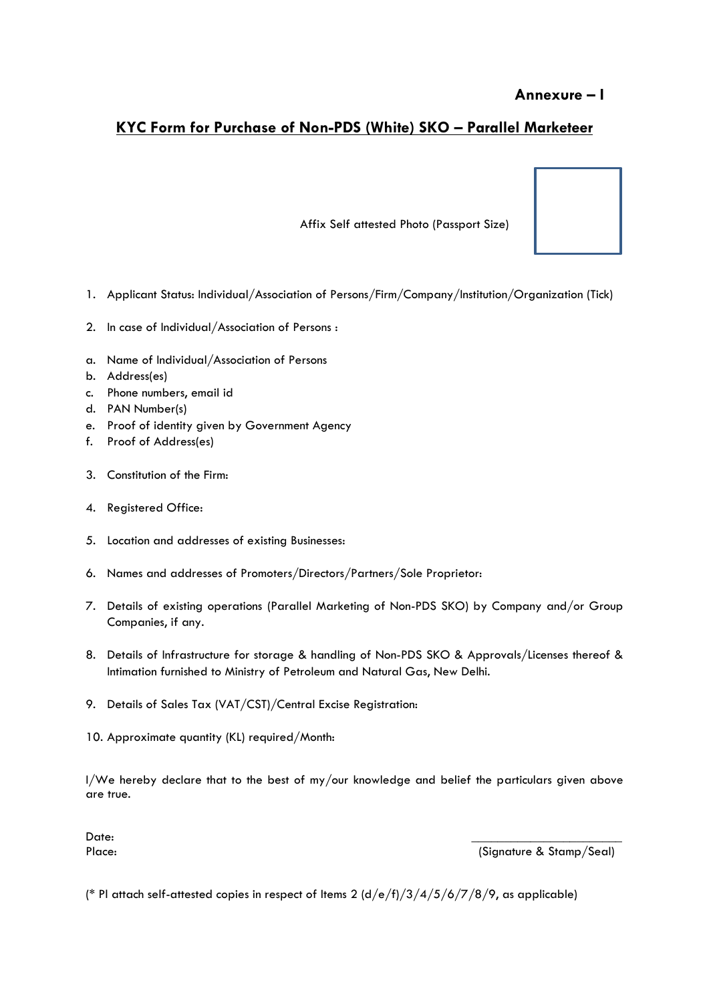# **KYC Form for Purchase of Non-PDS (White) SKO – Parallel Marketeer**

Affix Self attested Photo (Passport Size)

- 1. Applicant Status: Individual/Association of Persons/Firm/Company/Institution/Organization (Tick)
- 2. In case of Individual/Association of Persons :
- a. Name of Individual/Association of Persons
- b. Address(es)
- c. Phone numbers, email id
- d. PAN Number(s)
- e. Proof of identity given by Government Agency
- f. Proof of Address(es)
- 3. Constitution of the Firm:
- 4. Registered Office:
- 5. Location and addresses of existing Businesses:
- 6. Names and addresses of Promoters/Directors/Partners/Sole Proprietor:
- 7. Details of existing operations (Parallel Marketing of Non-PDS SKO) by Company and/or Group Companies, if any.
- 8. Details of Infrastructure for storage & handling of Non-PDS SKO & Approvals/Licenses thereof & Intimation furnished to Ministry of Petroleum and Natural Gas, New Delhi.
- 9. Details of Sales Tax (VAT/CST)/Central Excise Registration:
- 10. Approximate quantity (KL) required/Month:

I/We hereby declare that to the best of my/our knowledge and belief the particulars given above are true.

Date: \_\_\_\_\_\_\_\_\_\_\_\_\_\_\_\_\_\_\_\_\_\_\_

Place: (Signature & Stamp/Seal)

(\* Pl attach self-attested copies in respect of Items 2 (d/e/f)/3/4/5/6/7/8/9, as applicable)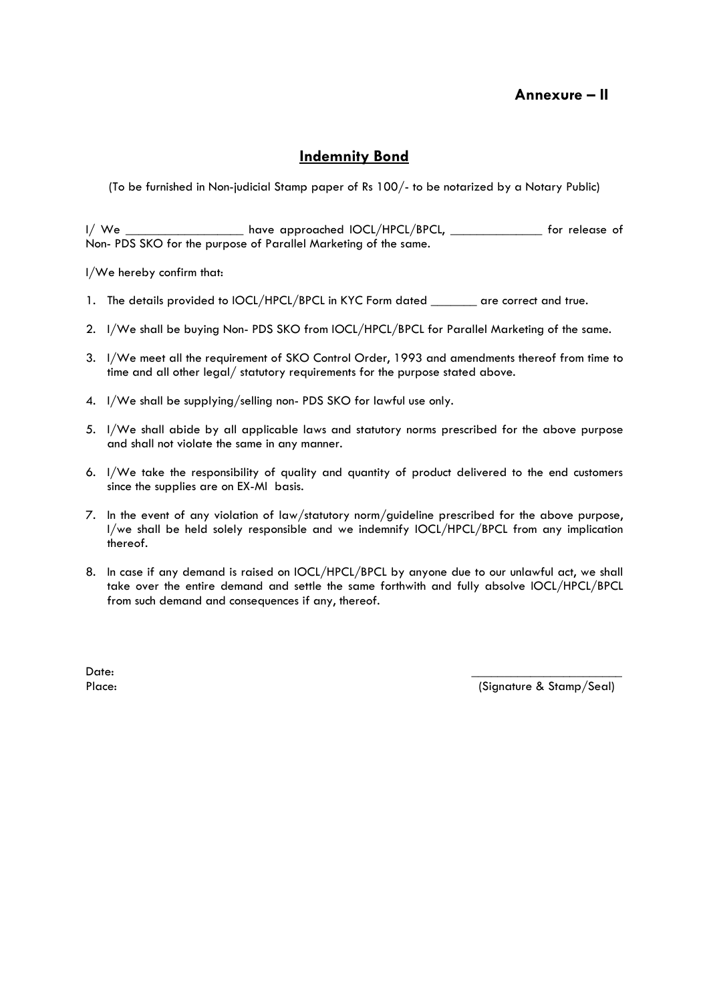### **Annexure – II**

### **Indemnity Bond**

(To be furnished in Non-judicial Stamp paper of Rs 100/- to be notarized by a Notary Public)

I/ We \_\_\_\_\_\_\_\_\_\_\_\_\_\_\_\_\_\_\_ have approached IOCL/HPCL/BPCL, \_\_\_\_\_\_\_\_\_\_\_\_\_\_\_ for release of Non- PDS SKO for the purpose of Parallel Marketing of the same.

I/We hereby confirm that:

- 1. The details provided to IOCL/HPCL/BPCL in KYC Form dated \_\_\_\_\_\_\_ are correct and true.
- 2. I/We shall be buying Non- PDS SKO from IOCL/HPCL/BPCL for Parallel Marketing of the same.
- 3. I/We meet all the requirement of SKO Control Order, 1993 and amendments thereof from time to time and all other legal/ statutory requirements for the purpose stated above.
- 4. I/We shall be supplying/selling non- PDS SKO for lawful use only.
- 5. I/We shall abide by all applicable laws and statutory norms prescribed for the above purpose and shall not violate the same in any manner.
- 6. I/We take the responsibility of quality and quantity of product delivered to the end customers since the supplies are on EX-MI basis.
- 7. In the event of any violation of law/statutory norm/guideline prescribed for the above purpose, I/we shall be held solely responsible and we indemnify IOCL/HPCL/BPCL from any implication thereof.
- 8. In case if any demand is raised on IOCL/HPCL/BPCL by anyone due to our unlawful act, we shall take over the entire demand and settle the same forthwith and fully absolve IOCL/HPCL/BPCL from such demand and consequences if any, thereof.

Date: \_\_\_\_\_\_\_\_\_\_\_\_\_\_\_\_\_\_\_\_\_\_\_

Place: (Signature & Stamp/Seal)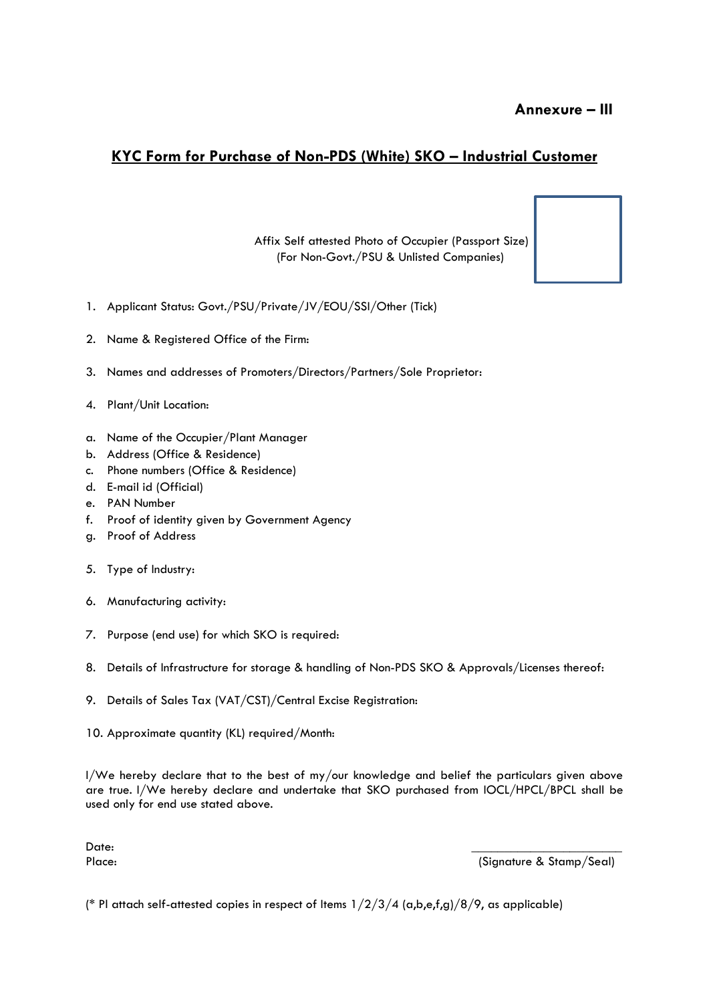# **KYC Form for Purchase of Non-PDS (White) SKO – Industrial Customer**

Affix Self attested Photo of Occupier (Passport Size) (For Non-Govt./PSU & Unlisted Companies)



- 1. Applicant Status: Govt./PSU/Private/JV/EOU/SSI/Other (Tick)
- 2. Name & Registered Office of the Firm:
- 3. Names and addresses of Promoters/Directors/Partners/Sole Proprietor:
- 4. Plant/Unit Location:
- a. Name of the Occupier/Plant Manager
- b. Address (Office & Residence)
- c. Phone numbers (Office & Residence)
- d. E-mail id (Official)
- e. PAN Number
- f. Proof of identity given by Government Agency
- g. Proof of Address
- 5. Type of Industry:
- 6. Manufacturing activity:
- 7. Purpose (end use) for which SKO is required:
- 8. Details of Infrastructure for storage & handling of Non-PDS SKO & Approvals/Licenses thereof:
- 9. Details of Sales Tax (VAT/CST)/Central Excise Registration:
- 10. Approximate quantity (KL) required/Month:

I/We hereby declare that to the best of my/our knowledge and belief the particulars given above are true. I/We hereby declare and undertake that SKO purchased from IOCL/HPCL/BPCL shall be used only for end use stated above.

Date: \_\_\_\_\_\_\_\_\_\_\_\_\_\_\_\_\_\_\_\_\_\_\_

Place: (Signature & Stamp/Seal)

(\* Pl attach self-attested copies in respect of Items  $1/2/3/4$  (a,b,e,f,g)/8/9, as applicable)